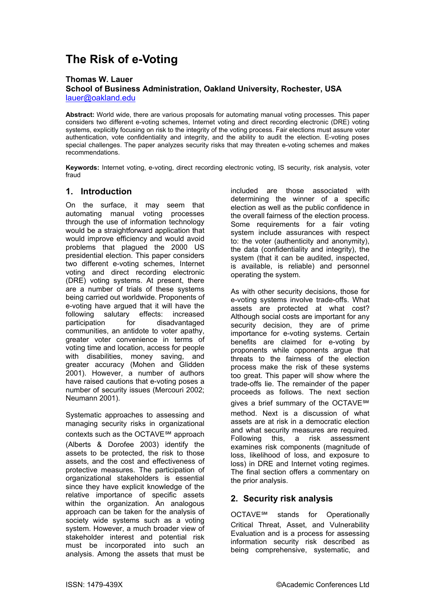# **The Risk of e-Voting**

#### **Thomas W. Lauer School of Business Administration, Oakland University, Rochester, USA**  lauer@oakland.edu

**Abstract:** World wide, there are various proposals for automating manual voting processes. This paper considers two different e-voting schemes, Internet voting and direct recording electronic (DRE) voting systems, explicitly focusing on risk to the integrity of the voting process. Fair elections must assure voter [authentication, vote con](mailto:lauer@oakland.edu)fidentiality and integrity, and the ability to audit the election. E-voting poses special challenges. The paper analyzes security risks that may threaten e-voting schemes and makes recommendations.

**Keywords:** Internet voting, e-voting, direct recording electronic voting, IS security, risk analysis, voter fraud

## **1. Introduction**

On the surface, it may seem that automating manual voting processes through the use of information technology would be a straightforward application that would improve efficiency and would avoid problems that plagued the 2000 US presidential election. This paper considers two different e-voting schemes, Internet voting and direct recording electronic (DRE) voting systems. At present, there are a number of trials of these systems being carried out worldwide. Proponents of e-voting have argued that it will have the following salutary effects: increased participation for disadvantaged communities, an antidote to voter apathy, greater voter convenience in terms of voting time and location, access for people with disabilities, money saving, and greater accuracy (Mohen and Glidden 2001). However, a number of authors have raised cautions that e-voting poses a number of security issues (Mercouri 2002; Neumann 2001).

Systematic approaches to assessing and managing security risks in organizational contexts such as the OCTAVE<sup>SM</sup> approach (Alberts & Dorofee 2003) identify the assets to be protected, the risk to those assets, and the cost and effectiveness of protective measures. The participation of organizational stakeholders is essential since they have explicit knowledge of the relative importance of specific assets within the organization. An analogous approach can be taken for the analysis of society wide systems such as a voting system. However, a much broader view of stakeholder interest and potential risk must be incorporated into such an analysis. Among the assets that must be

included are those associated with determining the winner of a specific election as well as the public confidence in the overall fairness of the election process. Some requirements for a fair voting system include assurances with respect to: the voter (authenticity and anonymity), the data (confidentiality and integrity), the system (that it can be audited, inspected, is available, is reliable) and personnel operating the system.

As with other security decisions, those for e-voting systems involve trade-offs. What assets are protected at what cost? Although social costs are important for any security decision, they are of prime importance for e-voting systems. Certain benefits are claimed for e-voting by proponents while opponents argue that threats to the fairness of the election process make the risk of these systems too great. This paper will show where the trade-offs lie. The remainder of the paper proceeds as follows. The next section gives a brief summary of the OCTAVE<sup>SM</sup> method. Next is a discussion of what assets are at risk in a democratic election and what security measures are required. Following this, a risk assessment examines risk components (magnitude of loss, likelihood of loss, and exposure to loss) in DRE and Internet voting regimes. The final section offers a commentary on the prior analysis.

# **2. Security risk analysis**

OCTAVE℠ stands for Operationally Critical Threat, Asset, and Vulnerability Evaluation and is a process for assessing information security risk described as being comprehensive, systematic, and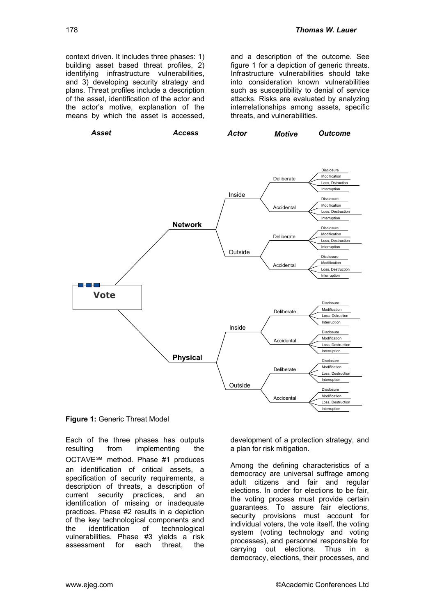context driven. It includes three phases: 1) building asset based threat profiles, 2) identifying infrastructure vulnerabilities, and 3) developing security strategy and plans. Threat profiles include a description of the asset, identification of the actor and the actor's motive, explanation of the means by which the asset is accessed,

and a description of the outcome. See figure 1 for a depiction of generic threats. Infrastructure vulnerabilities should take into consideration known vulnerabilities such as susceptibility to denial of service attacks. Risks are evaluated by analyzing interrelationships among assets, specific threats, and vulnerabilities.





Each of the three phases has outputs resulting from implementing the OCTAVE℠ method. Phase #1 produces an identification of critical assets, a specification of security requirements, a description of threats, a description of current security practices, and an identification of missing or inadequate practices. Phase #2 results in a depiction of the key technological components and the identification of technological vulnerabilities. Phase #3 yields a risk assessment for each threat, the

development of a protection strategy, and a plan for risk mitigation.

Among the defining characteristics of a democracy are universal suffrage among adult citizens and fair and regular elections. In order for elections to be fair, the voting process must provide certain guarantees. To assure fair elections, security provisions must account for individual voters, the vote itself, the voting system (voting technology and voting processes), and personnel responsible for carrying out elections. Thus in a democracy, elections, their processes, and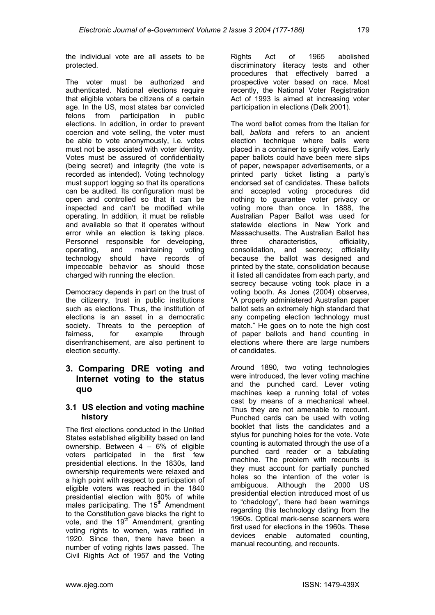the individual vote are all assets to be protected.

The voter must be authorized and authenticated. National elections require that eligible voters be citizens of a certain age. In the US, most states bar convicted felons from participation in public elections. In addition, in order to prevent coercion and vote selling, the voter must be able to vote anonymously, i.e. votes must not be associated with voter identity. Votes must be assured of confidentiality (being secret) and integrity (the vote is recorded as intended). Voting technology must support logging so that its operations can be audited. Its configuration must be open and controlled so that it can be inspected and can't be modified while operating. In addition, it must be reliable and available so that it operates without error while an election is taking place. Personnel responsible for developing, operating, and maintaining voting technology should have records of impeccable behavior as should those charged with running the election.

Democracy depends in part on the trust of the citizenry, trust in public institutions such as elections. Thus, the institution of elections is an asset in a democratic society. Threats to the perception of fairness, for example through disenfranchisement, are also pertinent to election security.

## **3. Comparing DRE voting and Internet voting to the status quo**

#### **3.1 US election and voting machine history**

The first elections conducted in the United States established eligibility based on land ownership. Between 4 – 6% of eligible voters participated in the first few presidential elections. In the 1830s, land ownership requirements were relaxed and a high point with respect to participation of eligible voters was reached in the 1840 presidential election with 80% of white males participating. The 15<sup>th</sup> Amendment to the Constitution gave blacks the right to vote, and the  $19<sup>th</sup>$  Amendment, granting voting rights to women, was ratified in 1920. Since then, there have been a number of voting rights laws passed. The Civil Rights Act of 1957 and the Voting

Rights Act of 1965 abolished discriminatory literacy tests and other procedures that effectively barred a prospective voter based on race. Most recently, the National Voter Registration Act of 1993 is aimed at increasing voter participation in elections (Delk 2001).

The word ballot comes from the Italian for ball, *ballota* and refers to an ancient election technique where balls were placed in a container to signify votes. Early paper ballots could have been mere slips of paper, newspaper advertisements, or a printed party ticket listing a party's endorsed set of candidates. These ballots and accepted voting procedures did nothing to guarantee voter privacy or voting more than once. In 1888, the Australian Paper Ballot was used for statewide elections in New York and Massachusetts. The Australian Ballot has three characteristics, officiality, consolidation, and secrecy; officiality because the ballot was designed and printed by the state, consolidation because it listed all candidates from each party, and secrecy because voting took place in a voting booth. As Jones (2004) observes, "A properly administered Australian paper ballot sets an extremely high standard that any competing election technology must match." He goes on to note the high cost of paper ballots and hand counting in elections where there are large numbers of candidates.

Around 1890, two voting technologies were introduced, the lever voting machine and the punched card. Lever voting machines keep a running total of votes cast by means of a mechanical wheel. Thus they are not amenable to recount. Punched cards can be used with voting booklet that lists the candidates and a stylus for punching holes for the vote. Vote counting is automated through the use of a punched card reader or a tabulating machine. The problem with recounts is they must account for partially punched holes so the intention of the voter is ambiguous. Although the 2000 US presidential election introduced most of us to "chadology", there had been warnings regarding this technology dating from the 1960s. Optical mark-sense scanners were first used for elections in the 1960s. These devices enable automated counting, manual recounting, and recounts.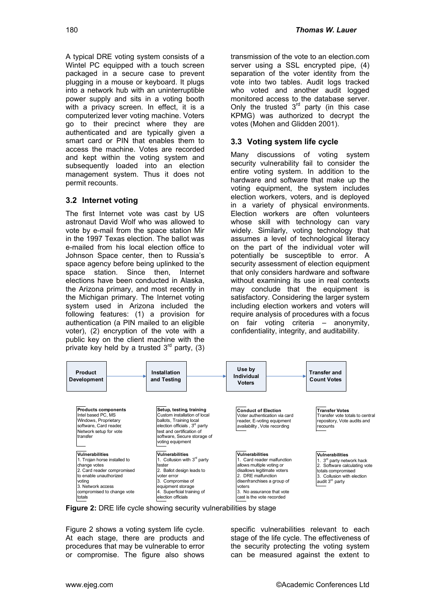A typical DRE voting system consists of a Wintel PC equipped with a touch screen packaged in a secure case to prevent plugging in a mouse or keyboard. It plugs into a network hub with an uninterruptible power supply and sits in a voting booth with a privacy screen. In effect, it is a computerized lever voting machine. Voters go to their precinct where they are authenticated and are typically given a smart card or PIN that enables them to access the machine. Votes are recorded and kept within the voting system and subsequently loaded into an election management system. Thus it does not permit recounts.

## **3.2 Internet voting**

The first Internet vote was cast by US astronaut David Wolf who was allowed to vote by e-mail from the space station Mir in the 1997 Texas election. The ballot was e-mailed from his local election office to Johnson Space center, then to Russia's space agency before being uplinked to the space station. Since then, Internet elections have been conducted in Alaska, the Arizona primary, and most recently in the Michigan primary. The Internet voting system used in Arizona included the following features: (1) a provision for authentication (a PIN mailed to an eligible voter), (2) encryption of the vote with a public key on the client machine with the private key held by a trusted  $3<sup>rd</sup>$  party, (3) transmission of the vote to an election.com server using a SSL encrypted pipe, (4) separation of the voter identity from the vote into two tables. Audit logs tracked who voted and another audit logged monitored access to the database server. Only the trusted  $3<sup>rd</sup>$  party (in this case KPMG) was authorized to decrypt the votes (Mohen and Glidden 2001).

#### **3.3 Voting system life cycle**

Many discussions of voting system security vulnerability fail to consider the entire voting system. In addition to the hardware and software that make up the voting equipment, the system includes election workers, voters, and is deployed in a variety of physical environments. Election workers are often volunteers whose skill with technology can vary widely. Similarly, voting technology that assumes a level of technological literacy on the part of the individual voter will potentially be susceptible to error. A security assessment of election equipment that only considers hardware and software without examining its use in real contexts may conclude that the equipment is satisfactory. Considering the larger system including election workers and voters will require analysis of procedures with a focus on fair voting criteria – anonymity, confidentiality, integrity, and auditability.



**Figure 2:** DRE life cycle showing security vulnerabilities by stage

Figure 2 shows a voting system life cycle. At each stage, there are products and procedures that may be vulnerable to error or compromise. The figure also shows specific vulnerabilities relevant to each stage of the life cycle. The effectiveness of the security protecting the voting system can be measured against the extent to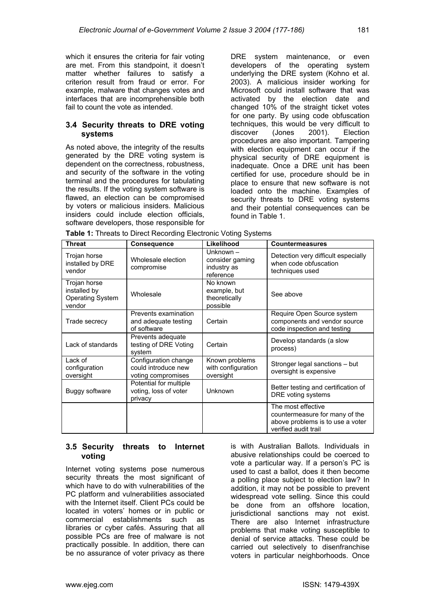which it ensures the criteria for fair voting are met. From this standpoint, it doesn't matter whether failures to satisfy a criterion result from fraud or error. For example, malware that changes votes and interfaces that are incomprehensible both fail to count the vote as intended.

#### **3.4 Security threats to DRE voting systems**

As noted above, the integrity of the results generated by the DRE voting system is dependent on the correctness, robustness, and security of the software in the voting terminal and the procedures for tabulating the results. If the voting system software is flawed, an election can be compromised by voters or malicious insiders. Malicious insiders could include election officials, software developers, those responsible for DRE system maintenance, or even developers of the operating system underlying the DRE system (Kohno et al. 2003). A malicious insider working for Microsoft could install software that was activated by the election date and changed 10% of the straight ticket votes for one party. By using code obfuscation techniques, this would be very difficult to discover (Jones 2001). Election procedures are also important. Tampering with election equipment can occur if the physical security of DRE equipment is inadequate. Once a DRE unit has been certified for use, procedure should be in place to ensure that new software is not loaded onto the machine. Examples of security threats to DRE voting systems and their potential consequences can be found in Table 1.

| <b>Threat</b>                                                     | Consequence                                                       | Likelihood                                               | <b>Countermeasures</b>                                                                                           |
|-------------------------------------------------------------------|-------------------------------------------------------------------|----------------------------------------------------------|------------------------------------------------------------------------------------------------------------------|
| Trojan horse<br>installed by DRE<br>vendor                        | Wholesale election<br>compromise                                  | Unknown -<br>consider gaming<br>industry as<br>reference | Detection very difficult especially<br>when code obfuscation<br>techniques used                                  |
| Trojan horse<br>installed by<br><b>Operating System</b><br>vendor | Wholesale                                                         | No known<br>example, but<br>theoretically<br>possible    | See above                                                                                                        |
| Trade secrecy                                                     | Prevents examination<br>and adequate testing<br>of software       | Certain                                                  | Require Open Source system<br>components and vendor source<br>code inspection and testing                        |
| Lack of standards                                                 | Prevents adequate<br>testing of DRE Voting<br>system              | Certain                                                  | Develop standards (a slow<br>process)                                                                            |
| Lack of<br>configuration<br>oversight                             | Configuration change<br>could introduce new<br>voting compromises | Known problems<br>with configuration<br>oversight        | Stronger legal sanctions - but<br>oversight is expensive                                                         |
| Buggy software                                                    | Potential for multiple<br>voting, loss of voter<br>privacy        | Unknown                                                  | Better testing and certification of<br>DRE voting systems                                                        |
|                                                                   |                                                                   |                                                          | The most effective<br>countermeasure for many of the<br>above problems is to use a voter<br>verified audit trail |

**Table 1:** Threats to Direct Recording Electronic Voting Systems

#### **3.5 Security threats to Internet voting**

Internet voting systems pose numerous security threats the most significant of which have to do with vulnerabilities of the PC platform and vulnerabilities associated with the Internet itself. Client PCs could be located in voters' homes or in public or commercial establishments such as libraries or cyber cafés. Assuring that all possible PCs are free of malware is not practically possible. In addition, there can be no assurance of voter privacy as there

is with Australian Ballots. Individuals in abusive relationships could be coerced to vote a particular way. If a person's PC is used to cast a ballot, does it then become a polling place subject to election law? In addition, it may not be possible to prevent widespread vote selling. Since this could be done from an offshore location, jurisdictional sanctions may not exist. There are also Internet infrastructure problems that make voting susceptible to denial of service attacks. These could be carried out selectively to disenfranchise voters in particular neighborhoods. Once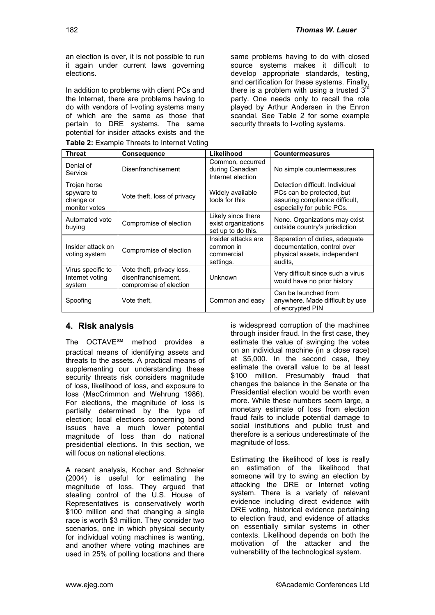an election is over, it is not possible to run it again under current laws governing elections.

In addition to problems with client PCs and the Internet, there are problems having to do with vendors of I-voting systems many of which are the same as those that pertain to DRE systems. The same potential for insider attacks exists and the

| Table 2: Example Threats to Internet Voting |
|---------------------------------------------|
|---------------------------------------------|

same problems having to do with closed source systems makes it difficult to develop appropriate standards, testing,  $\alpha$  and certification for these systems. Finally, there is a problem with using a trusted  $3<sup>n</sup>$ party. One needs only to recall the role played by Arthur Andersen in the Enron scandal. See Table 2 for some example security threats to I-voting systems.

| <b>Threat</b>                                            | <b>Consequence</b>                                                         | Likelihood                                                      | <b>Countermeasures</b>                                                                                                       |
|----------------------------------------------------------|----------------------------------------------------------------------------|-----------------------------------------------------------------|------------------------------------------------------------------------------------------------------------------------------|
| Denial of<br>Service                                     | Disenfranchisement                                                         | Common, occurred<br>during Canadian<br>Internet election        | No simple countermeasures                                                                                                    |
| Trojan horse<br>spyware to<br>change or<br>monitor votes | Vote theft, loss of privacy                                                | Widely available<br>tools for this                              | Detection difficult. Individual<br>PCs can be protected, but<br>assuring compliance difficult.<br>especially for public PCs. |
| Automated vote<br>buying                                 | Compromise of election                                                     | Likely since there<br>exist organizations<br>set up to do this. | None. Organizations may exist<br>outside country's jurisdiction                                                              |
| Insider attack on<br>voting system                       | Compromise of election                                                     | Insider attacks are<br>common in<br>commercial<br>settings.     | Separation of duties, adequate<br>documentation, control over<br>physical assets, independent<br>audits.                     |
| Virus specific to<br>Internet voting<br>system           | Vote theft, privacy loss,<br>disenfranchisement.<br>compromise of election | Unknown                                                         | Very difficult since such a virus<br>would have no prior history                                                             |
| Spoofing                                                 | Vote theft,                                                                | Common and easy                                                 | Can be launched from<br>anywhere. Made difficult by use<br>of encrypted PIN                                                  |

# **4. Risk analysis**

The OCTAVE℠ method provides a practical means of identifying assets and threats to the assets. A practical means of supplementing our understanding these security threats risk considers magnitude of loss, likelihood of loss, and exposure to loss (MacCrimmon and Wehrung 1986). For elections, the magnitude of loss is partially determined by the type of election; local elections concerning bond issues have a much lower potential magnitude of loss than do national presidential elections. In this section, we will focus on national elections.

A recent analysis, Kocher and Schneier (2004) is useful for estimating the magnitude of loss. They argued that stealing control of the U.S. House of Representatives is conservatively worth \$100 million and that changing a single race is worth \$3 million. They consider two scenarios, one in which physical security for individual voting machines is wanting, and another where voting machines are used in 25% of polling locations and there

is widespread corruption of the machines through insider fraud. In the first case, they estimate the value of swinging the votes on an individual machine (in a close race) at \$5,000. In the second case, they estimate the overall value to be at least \$100 million. Presumably fraud that changes the balance in the Senate or the Presidential election would be worth even more. While these numbers seem large, a monetary estimate of loss from election fraud fails to include potential damage to social institutions and public trust and therefore is a serious underestimate of the magnitude of loss.

Estimating the likelihood of loss is really an estimation of the likelihood that someone will try to swing an election by attacking the DRE or Internet voting system. There is a variety of relevant evidence including direct evidence with DRE voting, historical evidence pertaining to election fraud, and evidence of attacks on essentially similar systems in other contexts. Likelihood depends on both the motivation of the attacker and the vulnerability of the technological system.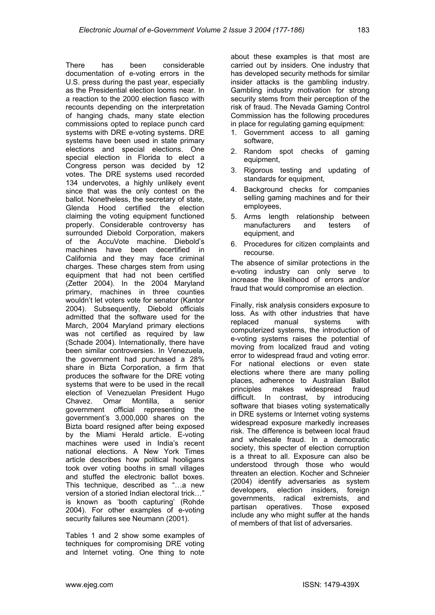There has been considerable documentation of e-voting errors in the U.S. press during the past year, especially as the Presidential election looms near. In a reaction to the 2000 election fiasco with recounts depending on the interpretation of hanging chads, many state election commissions opted to replace punch card systems with DRE e-voting systems. DRE systems have been used in state primary elections and special elections. One special election in Florida to elect a Congress person was decided by 12 votes. The DRE systems used recorded 134 undervotes, a highly unlikely event since that was the only contest on the ballot. Nonetheless, the secretary of state, Glenda Hood certified the election claiming the voting equipment functioned properly. Considerable controversy has surrounded Diebold Corporation, makers of the AccuVote machine. Diebold's machines have been decertified in California and they may face criminal charges. These charges stem from using equipment that had not been certified (Zetter 2004). In the 2004 Maryland primary, machines in three counties wouldn't let voters vote for senator (Kantor 2004). Subsequently, Diebold officials admitted that the software used for the March, 2004 Maryland primary elections was not certified as required by law (Schade 2004). Internationally, there have been similar controversies. In Venezuela, the government had purchased a 28% share in Bizta Corporation, a firm that produces the software for the DRE voting systems that were to be used in the recall election of Venezuelan President Hugo Chavez. Omar Montilla, a senior government official representing the government's 3,000,000 shares on the Bizta board resigned after being exposed by the Miami Herald article. E-voting machines were used in India's recent national elections. A New York Times article describes how political hooligans took over voting booths in small villages and stuffed the electronic ballot boxes. This technique, described as "…a new version of a storied Indian electoral trick…" is known as 'booth capturing' (Rohde 2004). For other examples of e-voting security failures see Neumann (2001).

Tables 1 and 2 show some examples of techniques for compromising DRE voting and Internet voting. One thing to note

about these examples is that most are carried out by insiders. One industry that has developed security methods for similar insider attacks is the gambling industry. Gambling industry motivation for strong security stems from their perception of the risk of fraud. The Nevada Gaming Control Commission has the following procedures in place for regulating gaming equipment:

- 1. Government access to all gaming software,
- 2. Random spot checks of gaming equipment,
- 3. Rigorous testing and updating of standards for equipment,
- 4. Background checks for companies selling gaming machines and for their employees,
- 5. Arms length relationship between manufacturers and testers of equipment, and
- 6. Procedures for citizen complaints and recourse.

The absence of similar protections in the e-voting industry can only serve to increase the likelihood of errors and/or fraud that would compromise an election.

Finally, risk analysis considers exposure to loss. As with other industries that have replaced manual systems with computerized systems, the introduction of e-voting systems raises the potential of moving from localized fraud and voting error to widespread fraud and voting error. For national elections or even state elections where there are many polling places, adherence to Australian Ballot principles makes widespread fraud difficult. In contrast, by introducing software that biases voting systematically in DRE systems or Internet voting systems widespread exposure markedly increases risk. The difference is between local fraud and wholesale fraud. In a democratic society, this specter of election corruption is a threat to all. Exposure can also be understood through those who would threaten an election. Kocher and Schneier (2004) identify adversaries as system developers, election insiders, foreign governments, radical extremists, and partisan operatives. Those exposed include any who might suffer at the hands of members of that list of adversaries.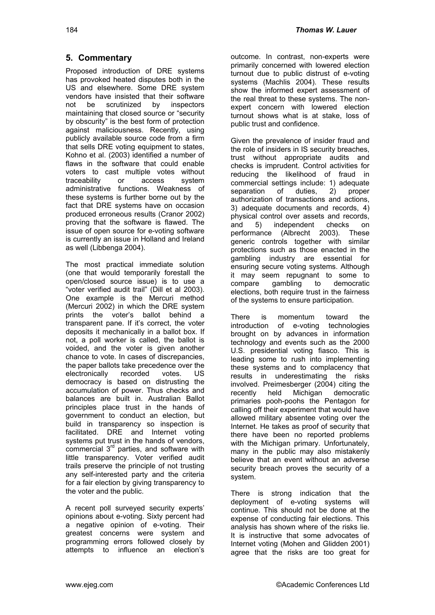#### 184

# **5. Commentary**

Proposed introduction of DRE systems has provoked heated disputes both in the US and elsewhere. Some DRE system vendors have insisted that their software not be scrutinized by inspectors maintaining that closed source or "security by obscurity" is the best form of protection against maliciousness. Recently, using publicly available source code from a firm that sells DRE voting equipment to states, Kohno et al. (2003) identified a number of flaws in the software that could enable voters to cast multiple votes without traceability or access system administrative functions. Weakness of these systems is further borne out by the fact that DRE systems have on occasion produced erroneous results (Cranor 2002) proving that the software is flawed. The issue of open source for e-voting software is currently an issue in Holland and Ireland as well (Libbenga 2004).

The most practical immediate solution (one that would temporarily forestall the open/closed source issue) is to use a "voter verified audit trail" (Dill et al 2003). One example is the Mercuri method (Mercuri 2002) in which the DRE system prints the voter's ballot behind a transparent pane. If it's correct, the voter deposits it mechanically in a ballot box. If not, a poll worker is called, the ballot is voided, and the voter is given another chance to vote. In cases of discrepancies, the paper ballots take precedence over the electronically recorded votes. US democracy is based on distrusting the accumulation of power. Thus checks and balances are built in. Australian Ballot principles place trust in the hands of government to conduct an election, but build in transparency so inspection is facilitated. DRE and Internet voting systems put trust in the hands of vendors, commercial  $3<sup>rd</sup>$  parties, and software with little transparency. Voter verified audit trails preserve the principle of not trusting any self-interested party and the criteria for a fair election by giving transparency to the voter and the public.

A recent poll surveyed security experts' opinions about e-voting. Sixty percent had a negative opinion of e-voting. Their greatest concerns were system and programming errors followed closely by attempts to influence an election's outcome. In contrast, non-experts were primarily concerned with lowered election turnout due to public distrust of e-voting systems (Machlis 2004). These results show the informed expert assessment of the real threat to these systems. The nonexpert concern with lowered election turnout shows what is at stake, loss of public trust and confidence.

Given the prevalence of insider fraud and the role of insiders in IS security breaches, trust without appropriate audits and checks is imprudent. Control activities for reducing the likelihood of fraud in commercial settings include: 1) adequate<br>separation of duties, 2) proper separation of duties, 2) proper authorization of transactions and actions, 3) adequate documents and records, 4) physical control over assets and records, and 5) independent checks on performance (Albrecht 2003). These generic controls together with similar protections such as those enacted in the gambling industry are essential for ensuring secure voting systems. Although it may seem repugnant to some to compare gambling to democratic elections, both require trust in the fairness of the systems to ensure participation.

There is momentum toward the introduction of e-voting technologies brought on by advances in information technology and events such as the 2000 U.S. presidential voting fiasco. This is leading some to rush into implementing these systems and to complacency that results in underestimating the risks involved. Preimesberger (2004) citing the recently held Michigan democratic primaries pooh-poohs the Pentagon for calling off their experiment that would have allowed military absentee voting over the Internet. He takes as proof of security that there have been no reported problems with the Michigan primary. Unfortunately, many in the public may also mistakenly believe that an event without an adverse security breach proves the security of a system.

There is strong indication that the deployment of e-voting systems will continue. This should not be done at the expense of conducting fair elections. This analysis has shown where of the risks lie. It is instructive that some advocates of Internet voting (Mohen and Glidden 2001) agree that the risks are too great for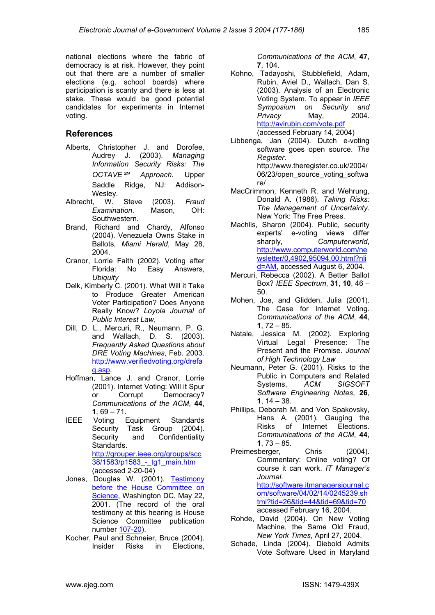national elections where the fabric of democracy is at risk. However, they point out that there are a number of smaller elections (e.g. school boards) where participation is scanty and there is less at stake. These would be good potential candidates for experiments in Internet voting.

## **References**

- Alberts, Christopher J. and Dorofee, Audrey J. (2003). *Managing Information Security Risks: The OCTAVE*℠ *Approach*. Upper Saddle Ridge, NJ: Addison-Wesley.
- Albrecht, W. Steve (2003). *Fraud Examination*. Mason, OH: Southwestern.
- Brand, Richard and Chardy, Alfonso (2004). Venezuela Owns Stake in Ballots, *Miami Herald*, May 28, 2004.
- Cranor, Lorrie Faith (2002). Voting after Florida: No Easy Answers, *Ubiquity*
- Delk, Kimberly C. (2001). What Will it Take to Produce Greater American Voter Participation? Does Anyone Really Know? *Loyola Journal of Public Interest Law*,
- Dill, D. L., Mercuri, R., Neumann, P. G. and Wallach, D. S. (2003). *Frequently Asked Questions about DRE Voting Machines*, Feb. 2003. http://www.verifiedvoting.org/drefa q.asp.
- Hoffman, Lance J. and Cranor, Lorrie (2001). Internet Voting: Will it Spur [or Corrupt Democracy?](http://www.verifiedvoting.org/drefaq.asp) *[Comm](http://www.verifiedvoting.org/drefaq.asp)unications of the ACM*, **44**, **1**, 69 – 71.
- IEEE Voting Equipment Standards Security Task Group (2004). Security and Confidentiality Standards. http://grouper.ieee.org/groups/scc 38/1583/p1583 - tg1 main.htm (accessed 2-20-04)
- Jones, Douglas W. (2001). Testimony [before the House Committee on](http://grouper.ieee.org/groups/scc38/1583/p1583_-_tg1_main.htm) [Science, Washington DC, May 2](http://grouper.ieee.org/groups/scc38/1583/p1583_-_tg1_main.htm)2, 2001. (The record of the oral testimony at this hearin[g is House](http://www.cs.uiowa.edu/~jones/voting/congress.html) [Science Committee publication](http://www.cs.uiowa.edu/~jones/voting/congress.html) [number](http://www.cs.uiowa.edu/~jones/voting/congress.html) 107-20).
- Kocher, Paul and Schneier, Bruce (2004). Insider Risks in Elections,

*Communications of the ACM*, **47**, **7**, 104.

- Kohno, Tadayoshi, Stubblefield, Adam, Rubin, Aviel D., Wallach, Dan S. (2003). Analysis of an Electronic Voting System. To appear in *IEEE Symposium on Security and Privacy* May, 2004. http://avirubin.com/vote.pdf (accessed February 14, 2004)
- Libbenga, Jan (2004). Dutch e-voting software goes open source. *The Register*. [http://www.theregister.co.uk](http://avirubin.com/vote.pdf)/2004/ 06/23/open\_source\_voting\_softwa re/
- MacCrimmon, Kenneth R. and Wehrung, Donald A. (1986). *Taking Risks: The Management of Uncertainty*. New York: The Free Press.
- Machlis, Sharon (2004). Public, security experts' e-voting views differ<br>sharply, Computerworld, Computerworld, http://www.computerworld.com/ne wsletter/0,4902,95094,00.html?nli d=AM, accessed August 6, 2004.
- Mercuri, Rebecca (2002). A Better Ballot Box? *[IEEE Spectrum](http://www.computerworld.com/newsletter/0,4902,95094,00.html?nlid=AM)*, **31**, **10**, 46 – 50.
- Mohen, [Joe, and Glidden, Julia \(2001\)](http://www.computerworld.com/newsletter/0,4902,95094,00.html?nlid=AM). The Case for Internet Voting. *Communications of the ACM*, **44**, **1**, 72 – 85.
- Natale, Jessica M. (2002). Exploring Virtual Legal Presence: The Present and the Promise. *Journal of High Technology Law*
- Neumann, Peter G. (2001). Risks to the Public in Computers and Related Systems, *ACM SIGSOFT Software Engineering Notes*, **26**, **1**, 14 – 38.
- Phillips, Deborah M. and Von Spakovsky, Hans A. (2001). Gauging the Risks of Internet Elections. *Communications of the ACM*, **44**, **1**, 73 – 85.
- Preimesberger, Chris (2004). Commentary: Online voting? Of course it can work. *IT Manager's Journal*. http://software.itmanagersjournal.c

om/software/04/02/14/0245239.sh tml?tid=26&tid=44&tid=69&tid=70 accessed February 16, 2004.

- Rohde, [David \(2004\). On New Voting](http://software.itmanagersjournal.com/software/04/02/14/0245239.shtml?tid=26&tid=44&tid=69&tid=70) [Machine, the Same Old Fraud,](http://software.itmanagersjournal.com/software/04/02/14/0245239.shtml?tid=26&tid=44&tid=69&tid=70) *New York Times*, April 27, 2004.
- Schade[, Linda \(2004\). Diebold Admits](http://software.itmanagersjournal.com/software/04/02/14/0245239.shtml?tid=26&tid=44&tid=69&tid=70) Vote Software Used in Maryland